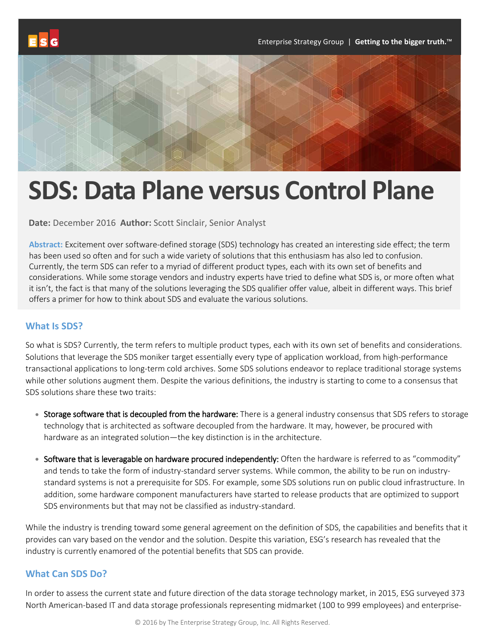

# **SDS: Data Plane versus Control Plane**

**Date:** December 2016 **Author:** Scott Sinclair, Senior Analyst

**Abstract:** Excitement over software-defined storage (SDS) technology has created an interesting side effect; the term has been used so often and for such a wide variety of solutions that this enthusiasm has also led to confusion. Currently, the term SDS can refer to a myriad of different product types, each with its own set of benefits and considerations. While some storage vendors and industry experts have tried to define what SDS is, or more often what it isn't, the fact is that many of the solutions leveraging the SDS qualifier offer value, albeit in different ways. This brief offers a primer for how to think about SDS and evaluate the various solutions.

# **What Is SDS?**

So what is SDS? Currently, the term refers to multiple product types, each with its own set of benefits and considerations. Solutions that leverage the SDS moniker target essentially every type of application workload, from high-performance transactional applications to long-term cold archives. Some SDS solutions endeavor to replace traditional storage systems while other solutions augment them. Despite the various definitions, the industry is starting to come to a consensus that SDS solutions share these two traits:

- Storage software that is decoupled from the hardware: There is a general industry consensus that SDS refers to storage technology that is architected as software decoupled from the hardware. It may, however, be procured with hardware as an integrated solution—the key distinction is in the architecture.
- Software that is leveragable on hardware procured independently: Often the hardware is referred to as "commodity" and tends to take the form of industry-standard server systems. While common, the ability to be run on industrystandard systems is not a prerequisite for SDS. For example, some SDS solutions run on public cloud infrastructure. In addition, some hardware component manufacturers have started to release products that are optimized to support SDS environments but that may not be classified as industry-standard.

While the industry is trending toward some general agreement on the definition of SDS, the capabilities and benefits that it provides can vary based on the vendor and the solution. Despite this variation, ESG's research has revealed that the industry is currently enamored of the potential benefits that SDS can provide.

# **What Can SDS Do?**

In order to assess the current state and future direction of the data storage technology market, in 2015, ESG surveyed 373 North American-based IT and data storage professionals representing midmarket (100 to 999 employees) and enterprise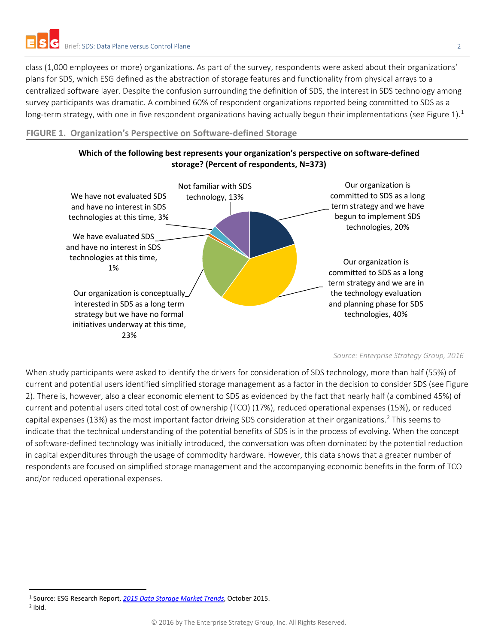class (1,000 employees or more) organizations. As part of the survey, respondents were asked about their organizations' plans for SDS, which ESG defined as the abstraction of storage features and functionality from physical arrays to a centralized software layer. Despite the confusion surrounding the definition of SDS, the interest in SDS technology among survey participants was dramatic. A combined 60% of respondent organizations reported being committed to SDS as a long-term strategy, with one in five respondent organizations having actually begun their implementations (see Figure [1](#page-1-0)).<sup>1</sup>

**FIGURE 1. Organization's Perspective on Software-defined Storage**



*Source: Enterprise Strategy Group, 2016*

When study participants were asked to identify the drivers for consideration of SDS technology, more than half (55%) of current and potential users identified simplified storage management as a factor in the decision to consider SDS (see Figure 2). There is, however, also a clear economic element to SDS as evidenced by the fact that nearly half (a combined 45%) of current and potential users cited total cost of ownership (TCO) (17%), reduced operational expenses (15%), or reduced capital expenses (13%) as the most important factor driving SDS consideration at their organizations.<sup>[2](#page-1-1)</sup> This seems to indicate that the technical understanding of the potential benefits of SDS is in the process of evolving. When the concept of software-defined technology was initially introduced, the conversation was often dominated by the potential reduction in capital expenditures through the usage of commodity hardware. However, this data shows that a greater number of respondents are focused on simplified storage management and the accompanying economic benefits in the form of TCO and/or reduced operational expenses.

<span id="page-1-0"></span> <sup>1</sup> Source: ESG Research Report, *[2015 Data Storage Market Trends](http://research.esg-global.com/reportaction/2015datastoragetrends/Toc)*, October 2015.

<span id="page-1-1"></span><sup>2</sup> ibid.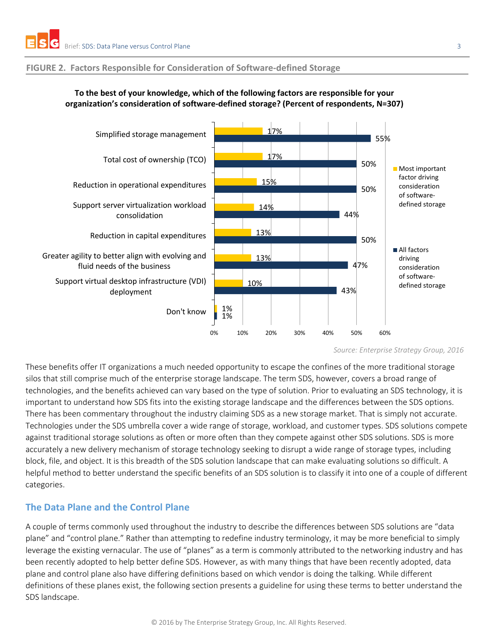#### **FIGURE 2. Factors Responsible for Consideration of Software-defined Storage**



#### **To the best of your knowledge, which of the following factors are responsible for your organization's consideration of software-defined storage? (Percent of respondents, N=307)**

*Source: Enterprise Strategy Group, 2016*

These benefits offer IT organizations a much needed opportunity to escape the confines of the more traditional storage silos that still comprise much of the enterprise storage landscape. The term SDS, however, covers a broad range of technologies, and the benefits achieved can vary based on the type of solution. Prior to evaluating an SDS technology, it is important to understand how SDS fits into the existing storage landscape and the differences between the SDS options. There has been commentary throughout the industry claiming SDS as a new storage market. That is simply not accurate. Technologies under the SDS umbrella cover a wide range of storage, workload, and customer types. SDS solutions compete against traditional storage solutions as often or more often than they compete against other SDS solutions. SDS is more accurately a new delivery mechanism of storage technology seeking to disrupt a wide range of storage types, including block, file, and object. It is this breadth of the SDS solution landscape that can make evaluating solutions so difficult. A helpful method to better understand the specific benefits of an SDS solution is to classify it into one of a couple of different categories.

# **The Data Plane and the Control Plane**

A couple of terms commonly used throughout the industry to describe the differences between SDS solutions are "data plane" and "control plane." Rather than attempting to redefine industry terminology, it may be more beneficial to simply leverage the existing vernacular. The use of "planes" as a term is commonly attributed to the networking industry and has been recently adopted to help better define SDS. However, as with many things that have been recently adopted, data plane and control plane also have differing definitions based on which vendor is doing the talking. While different definitions of these planes exist, the following section presents a guideline for using these terms to better understand the SDS landscape.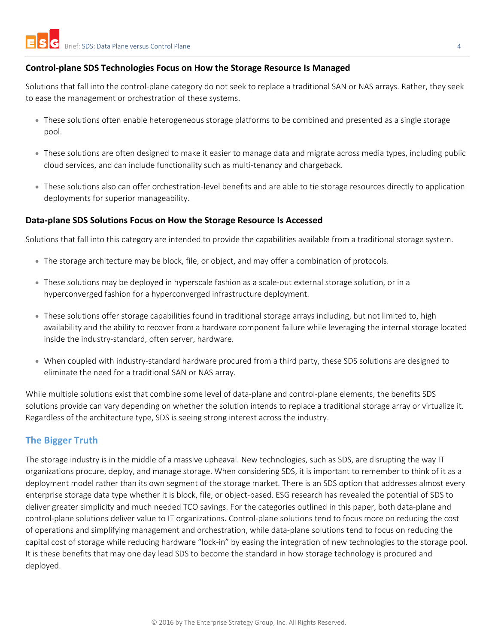# **Control-plane SDS Technologies Focus on How the Storage Resource Is Managed**

Solutions that fall into the control-plane category do not seek to replace a traditional SAN or NAS arrays. Rather, they seek to ease the management or orchestration of these systems.

- These solutions often enable heterogeneous storage platforms to be combined and presented as a single storage pool.
- These solutions are often designed to make it easier to manage data and migrate across media types, including public cloud services, and can include functionality such as multi-tenancy and chargeback.
- These solutions also can offer orchestration-level benefits and are able to tie storage resources directly to application deployments for superior manageability.

#### **Data-plane SDS Solutions Focus on How the Storage Resource Is Accessed**

Solutions that fall into this category are intended to provide the capabilities available from a traditional storage system.

- The storage architecture may be block, file, or object, and may offer a combination of protocols.
- These solutions may be deployed in hyperscale fashion as a scale-out external storage solution, or in a hyperconverged fashion for a hyperconverged infrastructure deployment.
- These solutions offer storage capabilities found in traditional storage arrays including, but not limited to, high availability and the ability to recover from a hardware component failure while leveraging the internal storage located inside the industry-standard, often server, hardware.
- When coupled with industry-standard hardware procured from a third party, these SDS solutions are designed to eliminate the need for a traditional SAN or NAS array.

While multiple solutions exist that combine some level of data-plane and control-plane elements, the benefits SDS solutions provide can vary depending on whether the solution intends to replace a traditional storage array or virtualize it. Regardless of the architecture type, SDS is seeing strong interest across the industry.

# **The Bigger Truth**

The storage industry is in the middle of a massive upheaval. New technologies, such as SDS, are disrupting the way IT organizations procure, deploy, and manage storage. When considering SDS, it is important to remember to think of it as a deployment model rather than its own segment of the storage market. There is an SDS option that addresses almost every enterprise storage data type whether it is block, file, or object-based. ESG research has revealed the potential of SDS to deliver greater simplicity and much needed TCO savings. For the categories outlined in this paper, both data-plane and control-plane solutions deliver value to IT organizations. Control-plane solutions tend to focus more on reducing the cost of operations and simplifying management and orchestration, while data-plane solutions tend to focus on reducing the capital cost of storage while reducing hardware "lock-in" by easing the integration of new technologies to the storage pool. It is these benefits that may one day lead SDS to become the standard in how storage technology is procured and deployed.